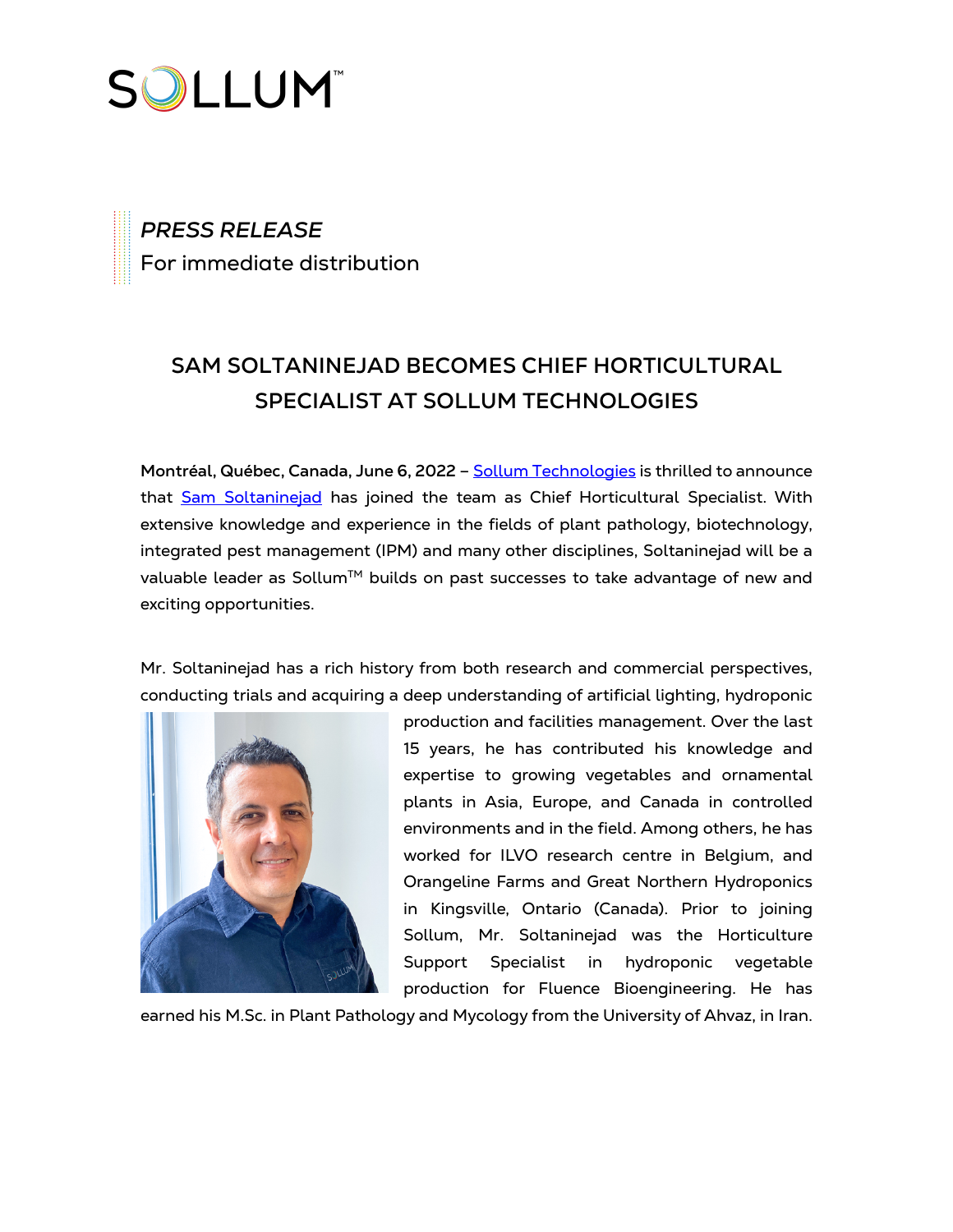

*PRESS RELEASE* For immediate distribution

## **SAM SOLTANINEJAD BECOMES CHIEF HORTICULTURAL SPECIALIST AT SOLLUM TECHNOLOGIES**

Montréal, Québec, Canada, June 6, 2022 - [Sollum Technologies](https://sollumtechnologies.com/) is thrilled to announce that Sam [Soltaninejad](https://www.linkedin.com/in/sam-soltaninejad-m-sc-ag-302b7732/?originalSubdomain=ca) has joined the team as Chief Horticultural Specialist. With extensive knowledge and experience in the fields of plant pathology, biotechnology, integrated pest management (IPM) and many other disciplines, Soltaninejad will be a valuable leader as Sollum™ builds on past successes to take advantage of new and exciting opportunities.

Mr. Soltaninejad has a rich history from both research and commercial perspectives, conducting trials and acquiring a deep understanding of artificial lighting, hydroponic



production and facilities management. Over the last 15 years, he has contributed his knowledge and expertise to growing vegetables and ornamental plants in Asia, Europe, and Canada in controlled environments and in the field. Among others, he has worked for ILVO research centre in Belgium, and Orangeline Farms and Great Northern Hydroponics in Kingsville, Ontario (Canada). Prior to joining Sollum, Mr. Soltaninejad was the Horticulture Support Specialist in hydroponic vegetable production for Fluence Bioengineering. He has

earned his M.Sc. in Plant Pathology and Mycology from the University of Ahvaz, in Iran.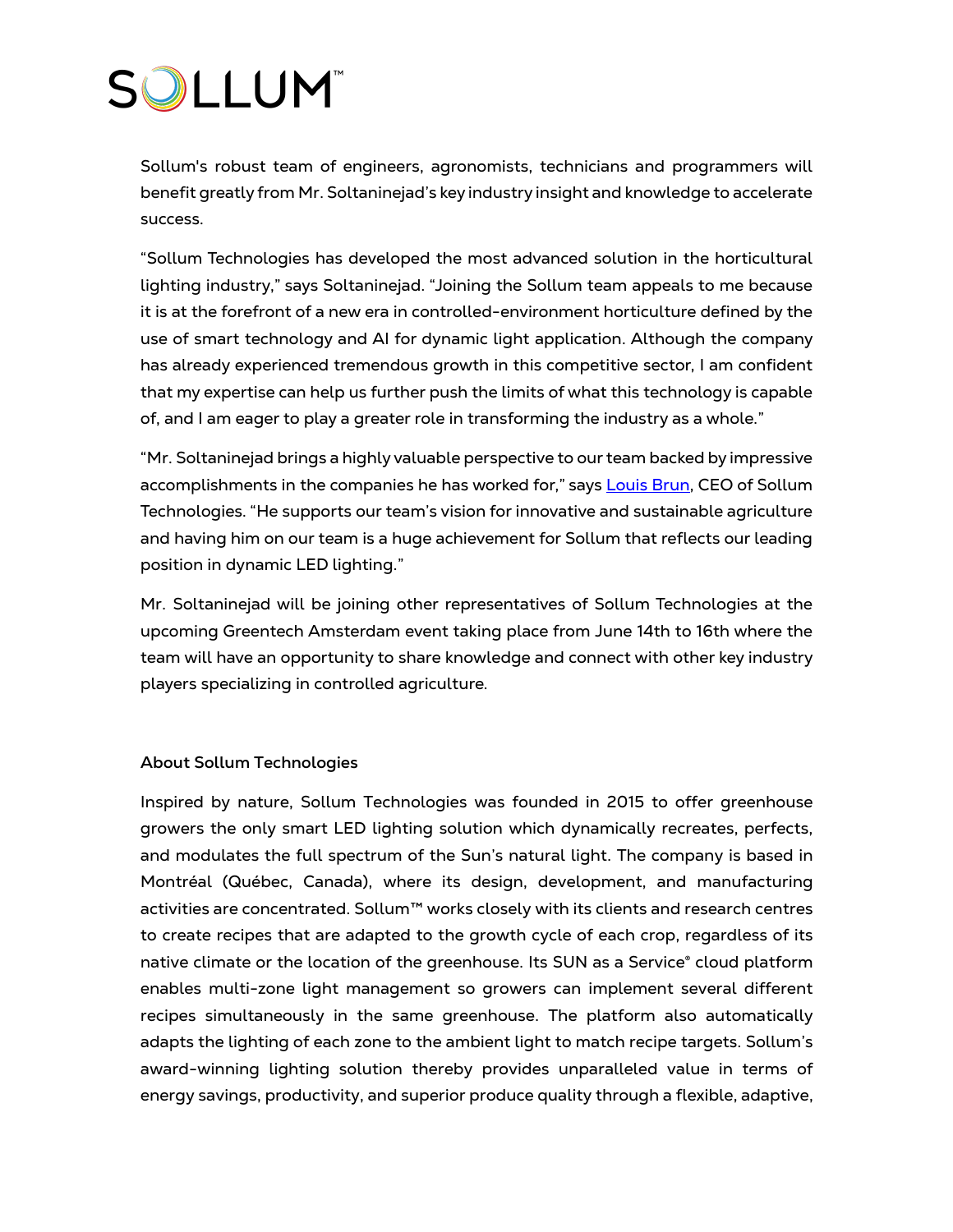## **SOLLUM**

Sollum's robust team of engineers, agronomists, technicians and programmers will benefit greatly from Mr. Soltaninejad's key industry insight and knowledge to accelerate success.

"Sollum Technologies has developed the most advanced solution in the horticultural lighting industry," says Soltaninejad. "Joining the Sollum team appeals to me because it is at the forefront of a new era in controlled-environment horticulture defined by the use of smart technology and AI for dynamic light application. Although the company has already experienced tremendous growth in this competitive sector, I am confident that my expertise can help us further push the limits of what this technology is capable of, and I am eager to play a greater role in transforming the industry as a whole."

"Mr. Soltaninejad brings a highly valuable perspective to our team backed by impressive accomplishments in the companies he has worked for," says Louis [Brun,](https://www.linkedin.com/in/louis-brun-557258/) CEO of Sollum Technologies. "He supports our team's vision for innovative and sustainable agriculture and having him on our team is a huge achievement for Sollum that reflects our leading position in dynamic LED lighting."

Mr. Soltaninejad will be joining other representatives of Sollum Technologies at the upcoming Greentech Amsterdam event taking place from June 14th to 16th where the team will have an opportunity to share knowledge and connect with other key industry players specializing in controlled agriculture.

## **About Sollum Technologies**

Inspired by nature, Sollum Technologies was founded in 2015 to offer greenhouse growers the only smart LED lighting solution which dynamically recreates, perfects, and modulates the full spectrum of the Sun's natural light. The company is based in Montréal (Québec, Canada), where its design, development, and manufacturing activities are concentrated. Sollum™ works closely with its clients and research centres to create recipes that are adapted to the growth cycle of each crop, regardless of its native climate or the location of the greenhouse. Its SUN as a Service® cloud platform enables multi-zone light management so growers can implement several different recipes simultaneously in the same greenhouse. The platform also automatically adapts the lighting of each zone to the ambient light to match recipe targets. Sollum's award-winning lighting solution thereby provides unparalleled value in terms of energy savings, productivity, and superior produce quality through a flexible, adaptive,